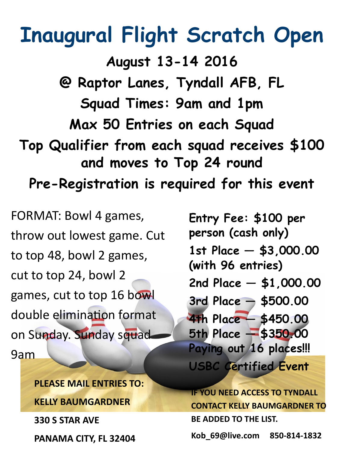## **Inaugural Flight Scratch Open**

**August 13-14 2016 @ Raptor Lanes, Tyndall AFB, FL Squad Times: 9am and 1pm Max 50 Entries on each Squad Top Qualifier from each squad receives \$100 and moves to Top 24 round Pre-Registration is required for this event**

FORMAT: Bowl 4 games, throw out lowest game. Cut to top 48, bowl 2 games, cut to top 24, bowl 2 games, cut to top 16 bowl double elimination format on Sunday. Sunday squad 9am

> **PLEASE MAIL ENTRIES TO: KELLY BAUMGARDNER**

**330 S STAR AVE**

**PANAMA CITY, FL 32404**

**Entry Fee: \$100 per person (cash only) 1st Place — \$3,000.00 (with 96 entries) 2nd Place — \$1,000.00 3rd Place — \$500.00 4th Place — \$450.00 5th Place — \$350.00 Paying out 16 places!!! USBC Certified Event**

**IF YOU NEED ACCESS TO TYNDALL CONTACT KELLY BAUMGARDNER TO BE ADDED TO THE LIST.**

**Kob\_69@live.com 850-814-1832**